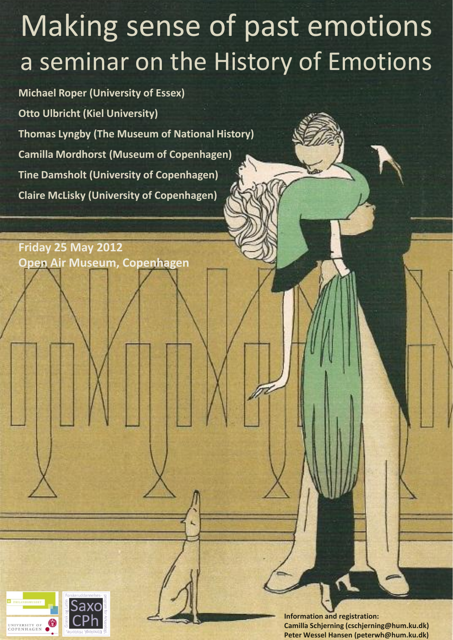# Making sense of past emotions a seminar on the History of Emotions

**Michael Roper (University of Essex) Otto Ulbricht (Kiel University) Thomas Lyngby (The Museum of National History) Camilla Mordhorst (Museum of Copenhagen) Tine Damsholt (University of Copenhagen) Claire McLisky (University of Copenhagen)**

**Friday 25 May 2012 Open Air Museum, Copenhagen**



**Information and registration: Camilla Schjerning (cschjerning@hum.ku.dk) Peter Wessel Hansen (peterwh@hum.ku.dk)**